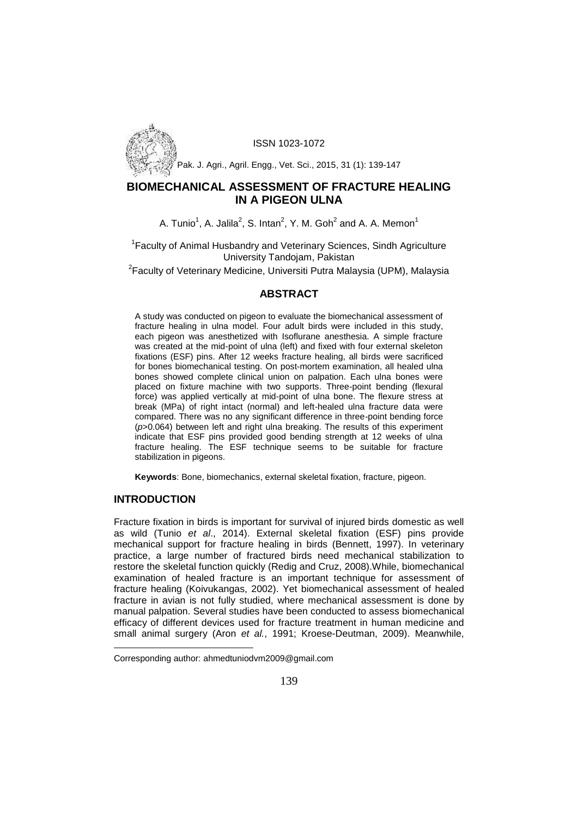

ISSN 1023-1072

Pak. J. Agri., Agril. Engg., Vet. Sci., 2015, 31 (1): 139-147

# **BIOMECHANICAL ASSESSMENT OF FRACTURE HEALING IN A PIGEON ULNA**

A. Tunio<sup>1</sup>, A. Jalila<sup>2</sup>, S. Intan<sup>2</sup>, Y. M. Goh<sup>2</sup> and A. A. Memon<sup>1</sup>

<sup>1</sup> Faculty of Animal Husbandry and Veterinary Sciences, Sindh Agriculture University Tandojam, Pakistan

 $2$ Faculty of Veterinary Medicine, Universiti Putra Malaysia (UPM), Malaysia

# **ABSTRACT**

A study was conducted on pigeon to evaluate the biomechanical assessment of fracture healing in ulna model. Four adult birds were included in this study, each pigeon was anesthetized with Isoflurane anesthesia. A simple fracture was created at the mid-point of ulna (left) and fixed with four external skeleton fixations (ESF) pins. After 12 weeks fracture healing, all birds were sacrificed for bones biomechanical testing. On post-mortem examination, all healed ulna bones showed complete clinical union on palpation. Each ulna bones were placed on fixture machine with two supports. Three-point bending (flexural force) was applied vertically at mid-point of ulna bone. The flexure stress at break (MPa) of right intact (normal) and left-healed ulna fracture data were compared. There was no any significant difference in three-point bending force (*p*>0.064) between left and right ulna breaking. The results of this experiment indicate that ESF pins provided good bending strength at 12 weeks of ulna fracture healing. The ESF technique seems to be suitable for fracture stabilization in pigeons.

**Keywords**: Bone, biomechanics, external skeletal fixation, fracture, pigeon.

## **INTRODUCTION**

Fracture fixation in birds is important for survival of injured birds domestic as well as wild (Tunio *et al*., 2014). External skeletal fixation (ESF) pins provide mechanical support for fracture healing in birds (Bennett, 1997). In veterinary practice, a large number of fractured birds need mechanical stabilization to restore the skeletal function quickly (Redig and Cruz, 2008).While, biomechanical examination of healed fracture is an important technique for assessment of fracture healing (Koivukangas, 2002). Yet biomechanical assessment of healed fracture in avian is not fully studied, where mechanical assessment is done by manual palpation. Several studies have been conducted to assess biomechanical efficacy of different devices used for fracture treatment in human medicine and small animal surgery (Aron *et al.*, 1991; Kroese-Deutman, 2009). Meanwhile,

Corresponding author: ahmedtuniodvm2009@gmail.com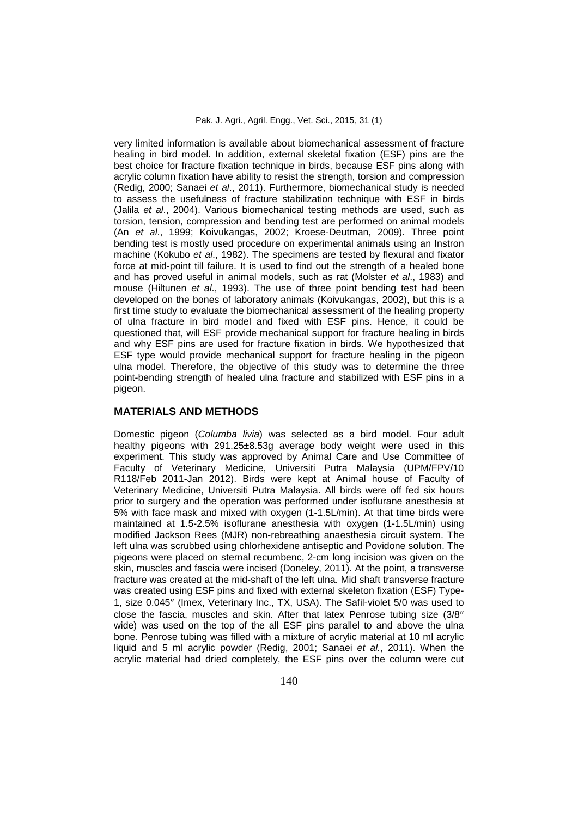very limited information is available about biomechanical assessment of fracture healing in bird model. In addition, external skeletal fixation (ESF) pins are the best choice for fracture fixation technique in birds, because ESF pins along with acrylic column fixation have ability to resist the strength, torsion and compression (Redig, 2000; Sanaei *et al*., 2011). Furthermore, biomechanical study is needed to assess the usefulness of fracture stabilization technique with ESF in birds (Jalila *et al*., 2004). Various biomechanical testing methods are used, such as torsion, tension, compression and bending test are performed on animal models (An *et al*., 1999; Koivukangas, 2002; Kroese-Deutman, 2009). Three point bending test is mostly used procedure on experimental animals using an Instron machine (Kokubo *et al*., 1982). The specimens are tested by flexural and fixator force at mid-point till failure. It is used to find out the strength of a healed bone and has proved useful in animal models, such as rat (Molster *et al*., 1983) and mouse (Hiltunen *et al*., 1993). The use of three point bending test had been developed on the bones of laboratory animals (Koivukangas, 2002), but this is a first time study to evaluate the biomechanical assessment of the healing property of ulna fracture in bird model and fixed with ESF pins. Hence, it could be questioned that, will ESF provide mechanical support for fracture healing in birds and why ESF pins are used for fracture fixation in birds. We hypothesized that ESF type would provide mechanical support for fracture healing in the pigeon ulna model. Therefore, the objective of this study was to determine the three point-bending strength of healed ulna fracture and stabilized with ESF pins in a pigeon.

## **MATERIALS AND METHODS**

Domestic pigeon (*Columba livia*) was selected as a bird model. Four adult healthy pigeons with 291.25±8.53g average body weight were used in this experiment. This study was approved by Animal Care and Use Committee of Faculty of Veterinary Medicine, Universiti Putra Malaysia (UPM/FPV/10 R118/Feb 2011-Jan 2012). Birds were kept at Animal house of Faculty of Veterinary Medicine, Universiti Putra Malaysia. All birds were off fed six hours prior to surgery and the operation was performed under isoflurane anesthesia at 5% with face mask and mixed with oxygen (1-1.5L/min). At that time birds were maintained at 1.5-2.5% isoflurane anesthesia with oxygen (1-1.5L/min) using modified Jackson Rees (MJR) non-rebreathing anaesthesia circuit system. The left ulna was scrubbed using chlorhexidene antiseptic and Povidone solution. The pigeons were placed on sternal recumbenc, 2-cm long incision was given on the skin, muscles and fascia were incised (Doneley, 2011). At the point, a transverse fracture was created at the mid-shaft of the left ulna. Mid shaft transverse fracture was created using ESF pins and fixed with external skeleton fixation (ESF) Type- 1, size 0.045" (Imex, Veterinary Inc., TX, USA). The Safil-violet 5/0 was used to close the fascia, muscles and skin. After that latex Penrose tubing size (3/8 wide) was used on the top of the all ESF pins parallel to and above the ulna bone. Penrose tubing was filled with a mixture of acrylic material at 10 ml acrylic liquid and 5 ml acrylic powder (Redig, 2001; Sanaei *et al.*, 2011). When the acrylic material had dried completely, the ESF pins over the column were cut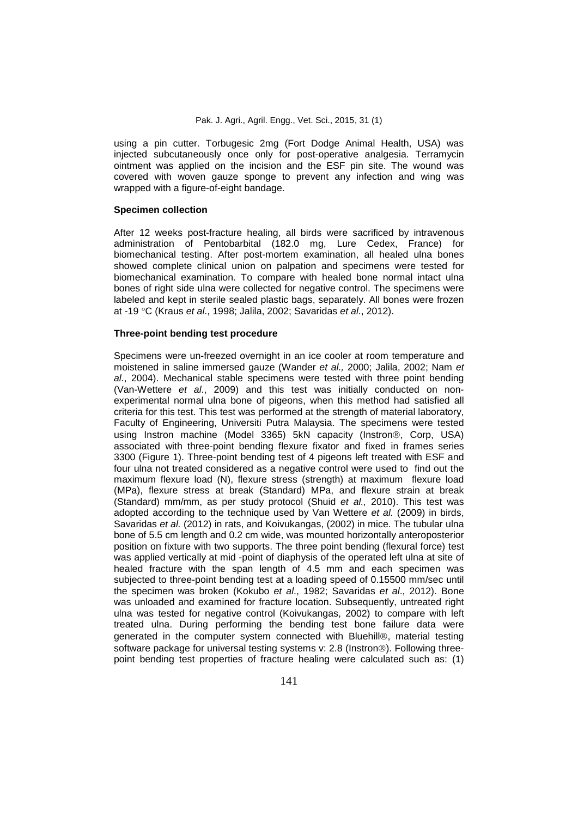using a pin cutter. Torbugesic 2mg (Fort Dodge Animal Health, USA) was injected subcutaneously once only for post-operative analgesia. Terramycin ointment was applied on the incision and the ESF pin site. The wound was covered with woven gauze sponge to prevent any infection and wing was wrapped with a figure-of-eight bandage.

### **Specimen collection**

After 12 weeks post-fracture healing, all birds were sacrificed by intravenous administration of Pentobarbital (182.0 mg, Lure Cedex, France) for biomechanical testing. After post-mortem examination, all healed ulna bones showed complete clinical union on palpation and specimens were tested for biomechanical examination. To compare with healed bone normal intact ulna bones of right side ulna were collected for negative control. The specimens were labeled and kept in sterile sealed plastic bags, separately. All bones were frozen at -19 C (Kraus *et al*., 1998; Jalila, 2002; Savaridas *et al*., 2012).

### **Three-point bending test procedure**

Specimens were un-freezed overnight in an ice cooler at room temperature and moistened in saline immersed gauze (Wander *et al.,* 2000; Jalila, 2002; Nam *et al*., 2004). Mechanical stable specimens were tested with three point bending (Van-Wettere *et al*., 2009) and this test was initially conducted on non experimental normal ulna bone of pigeons, when this method had satisfied all criteria for this test. This test was performed at the strength of material laboratory, Faculty of Engineering, Universiti Putra Malaysia. The specimens were tested using Instron machine (Model 3365) 5k capacity (Instron®, Corp, USA) associated with three-point bending flexure fixator and fixed in frames series 3300 (Figure 1). Three-point bending test of 4 pigeons left treated with ESF and four ulna not treated considered as a negative control were used to find out the maximum flexure load (N), flexure stress (strength) at maximum flexure load (MPa), flexure stress at break (Standard) MPa, and flexure strain at break (Standard) mm/mm, as per study protocol (Shuid *et al.,* 2010). This test was adopted according to the technique used by Van Wettere *et al.* (2009) in birds, Savaridas *et al.* (2012) in rats, and Koivukangas, (2002) in mice. The tubular ulna bone of 5.5 cm length and 0.2 cm wide, was mounted horizontally anteroposterior position on fixture with two supports. The three point bending (flexural force) test was applied vertically at mid -point of diaphysis of the operated left ulna at site of healed fracture with the span length of 4.5 mm and each specimen was subjected to three-point bending test at a loading speed of 0.15500 mm/sec until the specimen was broken (Kokubo *et al*., 1982; Savaridas *et al*., 2012). Bone was unloaded and examined for fracture location. Subsequently, untreated right ulna was tested for negative control (Koivukangas, 2002) to compare with left treated ulna. During performing the bending test bone failure data were generated in the computer system connected with Bluehill®, material testing software package for universal testing systems v: 2.8 (Instron®). Following threepoint bending test properties of fracture healing were calculated such as: (1)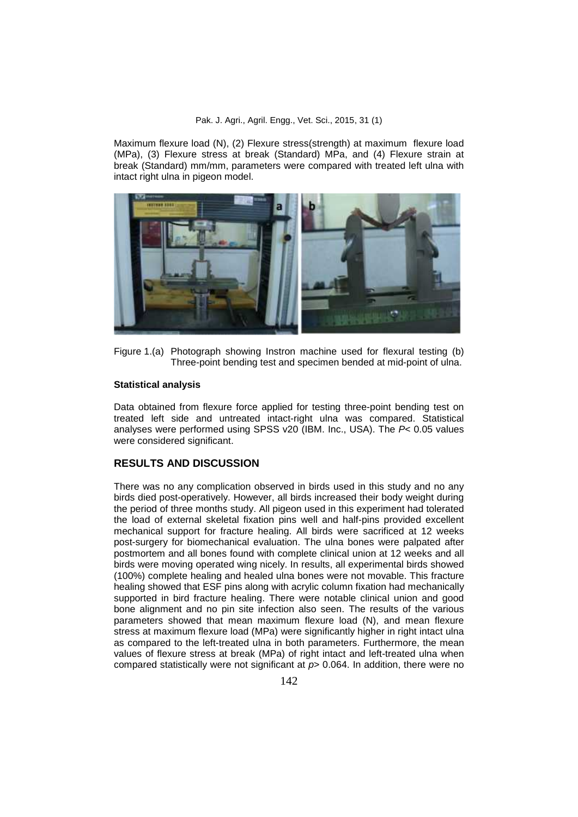#### Pak. J. Agri., Agril. Engg., Vet. Sci., 2015, 31 (1)

Maximum flexure load (N), (2) Flexure stress(strength) at maximum flexure load (MPa), (3) Flexure stress at break (Standard) MPa, and (4) Flexure strain at break (Standard) mm/mm, parameters were compared with treated left ulna with intact right ulna in pigeon model.



Figure 1.(a) Photograph showing Instron machine used for flexural testing (b) Three-point bending test and specimen bended at mid-point of ulna.

### **Statistical analysis**

Data obtained from flexure force applied for testing three-point bending test on treated left side and untreated intact-right ulna was compared. Statistical analyses were performed using SPSS v20 (IBM. Inc., USA). The *P*< 0.05 values were considered significant.

## **RESULTS AND DISCUSSION**

There was no any complication observed in birds used in this study and no any birds died post-operatively. However, all birds increased their body weight during the period of three months study. All pigeon used in this experiment had tolerated the load of external skeletal fixation pins well and half-pins provided excellent mechanical support for fracture healing. All birds were sacrificed at 12 weeks post-surgery for biomechanical evaluation. The ulna bones were palpated after postmortem and all bones found with complete clinical union at 12 weeks and all birds were moving operated wing nicely. In results, all experimental birds showed (100%) complete healing and healed ulna bones were not movable. This fracture healing showed that ESF pins along with acrylic column fixation had mechanically supported in bird fracture healing. There were notable clinical union and good bone alignment and no pin site infection also seen. The results of the various parameters showed that mean maximum flexure load (N), and mean flexure stress at maximum flexure load (MPa) were significantly higher in right intact ulna as compared to the left-treated ulna in both parameters. Furthermore, the mean values of flexure stress at break (MPa) of right intact and left-treated ulna when compared statistically were not significant at *p*> 0.064. In addition, there were no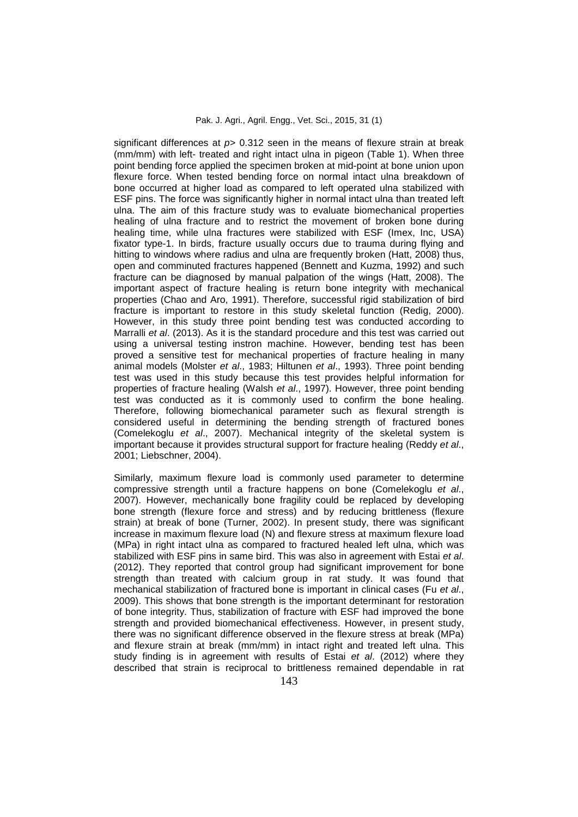significant differences at  $p$  0.312 seen in the means of flexure strain at break (mm/mm) with left- treated and right intact ulna in pigeon (Table 1). When three point bending force applied the specimen broken at mid-point at bone union upon flexure force. When tested bending force on normal intact ulna breakdown of bone occurred at higher load as compared to left operated ulna stabilized with ESF pins. The force was significantly higher in normal intact ulna than treated left ulna. The aim of this fracture study was to evaluate biomechanical properties healing of ulna fracture and to restrict the movement of broken bone during healing time, while ulna fractures were stabilized with ESF (Imex, Inc, USA) fixator type-1. In birds, fracture usually occurs due to trauma during flying and hitting to windows where radius and ulna are frequently broken (Hatt, 2008) thus, open and comminuted fractures happened (Bennett and Kuzma, 1992) and such fracture can be diagnosed by manual palpation of the wings (Hatt, 2008). The important aspect of fracture healing is return bone integrity with mechanical properties (Chao and Aro, 1991). Therefore, successful rigid stabilization of bird fracture is important to restore in this study skeletal function (Redig, 2000). However, in this study three point bending test was conducted according to Marralli *et al*. (2013). As it is the standard procedure and this test was carried out using a universal testing instron machine. However, bending test has been proved a sensitive test for mechanical properties of fracture healing in many animal models (Molster *et al*., 1983; Hiltunen *et al*., 1993). Three point bending test was used in this study because this test provides helpful information for properties of fracture healing (Walsh *et al*., 1997). However, three point bending test was conducted as it is commonly used to confirm the bone healing. Therefore, following biomechanical parameter such as flexural strength is considered useful in determining the bending strength of fractured bones (Comelekoglu *et al*., 2007). Mechanical integrity of the skeletal system is important because it provides structural support for fracture healing (Reddy *et al*., 2001; Liebschner, 2004).

Similarly, maximum flexure load is commonly used parameter to determine compressive strength until a fracture happens on bone (Comelekoglu *et al*., 2007). However, mechanically bone fragility could be replaced by developing bone strength (flexure force and stress) and by reducing brittleness (flexure strain) at break of bone (Turner, 2002). In present study, there was significant increase in maximum flexure load (N) and flexure stress at maximum flexure load (MPa) in right intact ulna as compared to fractured healed left ulna, which was stabilized with ESF pins in same bird. This was also in agreement with Estai *et al*. (2012). They reported that control group had significant improvement for bone strength than treated with calcium group in rat study. It was found that mechanical stabilization of fractured bone is important in clinical cases (Fu *et al*., 2009). This shows that bone strength is the important determinant for restoration of bone integrity. Thus, stabilization of fracture with ESF had improved the bone strength and provided biomechanical effectiveness. However, in present study, there was no significant difference observed in the flexure stress at break (MPa) and flexure strain at break (mm/mm) in intact right and treated left ulna. This study finding is in agreement with results of Estai *et al*. (2012) where they described that strain is reciprocal to brittleness remained dependable in rat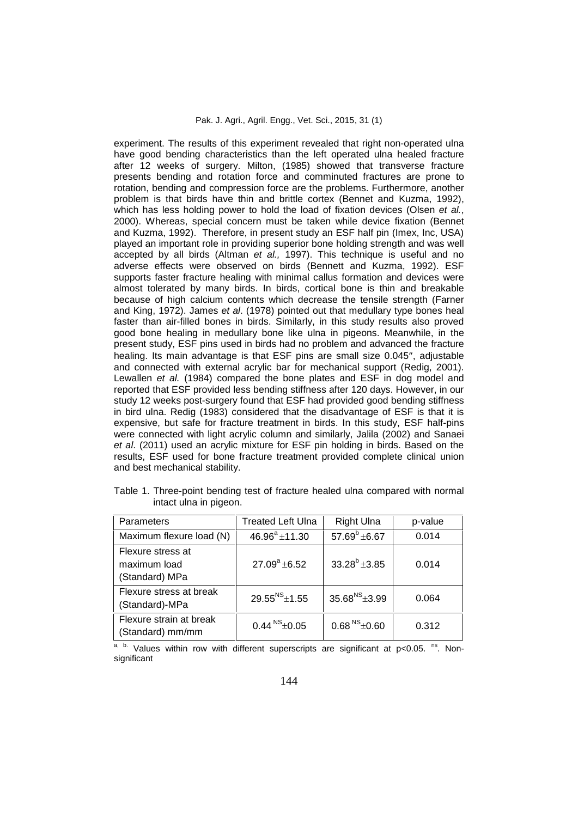experiment. The results of this experiment revealed that right non-operated ulna have good bending characteristics than the left operated ulna healed fracture after 12 weeks of surgery. Milton, (1985) showed that transverse fracture presents bending and rotation force and comminuted fractures are prone to rotation, bending and compression force are the problems. Furthermore, another problem is that birds have thin and brittle cortex (Bennet and Kuzma, 1992), which has less holding power to hold the load of fixation devices (Olsen *et al.*, 2000). Whereas, special concern must be taken while device fixation (Bennet and Kuzma, 1992). Therefore, in present study an ESF half pin (Imex, Inc, USA) played an important role in providing superior bone holding strength and was well accepted by all birds (Altman *et al.,* 1997). This technique is useful and no adverse effects were observed on birds (Bennett and Kuzma, 1992). ESF supports faster fracture healing with minimal callus formation and devices were almost tolerated by many birds. In birds, cortical bone is thin and breakable because of high calcium contents which decrease the tensile strength (Farner and King, 1972). James *et al*. (1978) pointed out that medullary type bones heal faster than air-filled bones in birds. Similarly, in this study results also proved good bone healing in medullary bone like ulna in pigeons. Meanwhile, in the present study, ESF pins used in birds had no problem and advanced the fracture healing. Its main advantage is that ESF pins are small size 0.045", adjustable and connected with external acrylic bar for mechanical support (Redig, 2001). Lewallen *et al.* (1984) compared the bone plates and ESF in dog model and reported that ESF provided less bending stiffness after 120 days. However, in our study 12 weeks post-surgery found that ESF had provided good bending stiffness in bird ulna. Redig (1983) considered that the disadvantage of ESF is that it is expensive, but safe for fracture treatment in birds. In this study, ESF half-pins were connected with light acrylic column and similarly, Jalila (2002) and Sanaei *et al*. (2011) used an acrylic mixture for ESF pin holding in birds. Based on the results, ESF used for bone fracture treatment provided complete clinical union and best mechanical stability.

| Parameters                                          | Treated Left Ulna   | <b>Right Ulna</b>      | p-value |
|-----------------------------------------------------|---------------------|------------------------|---------|
| Maximum flexure load (N)                            | $46.96^a \pm 11.30$ | 57.69 $^{\rm b}$ ±6.67 | 0.014   |
| Flexure stress at<br>maximum load<br>(Standard) MPa | $27.09^a \pm 6.52$  | $33.28^{b}$ ± 3.85     | 0.014   |
| Flexure stress at break<br>(Standard)-MPa           | $29.55^{NS}$ ±1.55  | $35.68^{NS}$ + 3.99    | 0.064   |
| Flexure strain at break<br>(Standard) mm/mm         | $0.44^{N}S + 0.05$  | $0.68NS \pm 0.60$      | 0.312   |

Table 1. Three-point bending test of fracture healed ulna compared with normal intact ulna in pigeon.

 $a$ , b. Values within row with different superscripts are significant at p<0.05. <sup>ns</sup>. Nonsignificant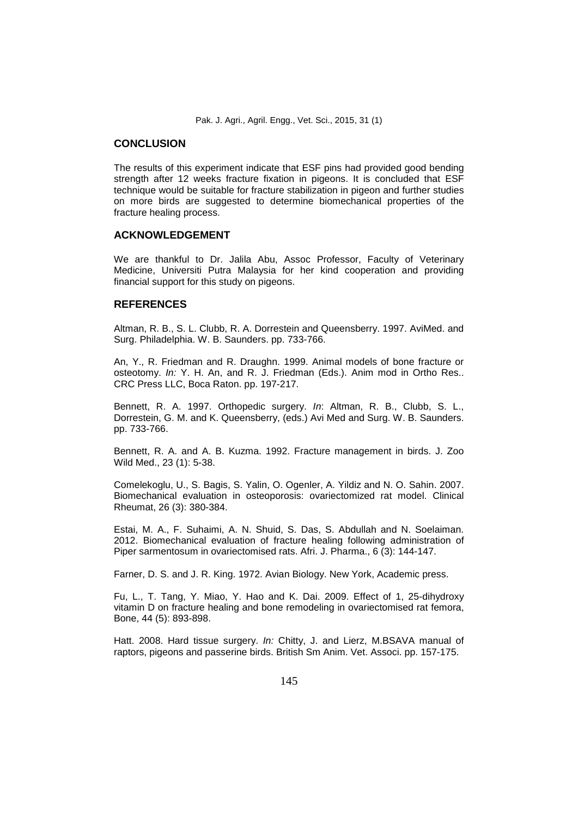Pak. J. Agri., Agril. Engg., Vet. Sci., 2015, 31 (1)

### **CONCLUSION**

The results of this experiment indicate that ESF pins had provided good bending strength after 12 weeks fracture fixation in pigeons. It is concluded that ESF technique would be suitable for fracture stabilization in pigeon and further studies on more birds are suggested to determine biomechanical properties of the fracture healing process.

### **ACKNOWLEDGEMENT**

We are thankful to Dr. Jalila Abu, Assoc Professor, Faculty of Veterinary Medicine, Universiti Putra Malaysia for her kind cooperation and providing financial support for this study on pigeons.

### **REFERENCES**

Altman, R. B., S. L. Clubb, R. A. Dorrestein and Queensberry. 1997. AviMed. and Surg. Philadelphia. W. B. Saunders. pp. 733-766.

An, Y., R. Friedman and R. Draughn. 1999. Animal models of bone fracture or osteotomy. *In:* Y. H. An, and R. J. Friedman (Eds.). Anim mod in Ortho Res.. CRC Press LLC, Boca Raton. pp. 197-217.

Bennett, R. A. 1997. Orthopedic surgery. *In*: Altman, R. B., Clubb, S. L., Dorrestein, G. M. and K. Queensberry, (eds.) Avi Med and Surg. W. B. Saunders. pp. 733-766.

Bennett, R. A. and A. B. Kuzma. 1992. Fracture management in birds. J. Zoo Wild Med., 23 (1): 5-38.

Comelekoglu, U., S. Bagis, S. Yalin, O. Ogenler, A. Yildiz and N. O. Sahin. 2007. Biomechanical evaluation in osteoporosis: ovariectomized rat model. Clinical Rheumat, 26 (3): 380-384.

Estai, M. A., F. Suhaimi, A. N. Shuid, S. Das, S. Abdullah and N. Soelaiman. 2012. Biomechanical evaluation of fracture healing following administration of Piper sarmentosum in ovariectomised rats. Afri. J. Pharma., 6 (3): 144-147.

Farner, D. S. and J. R. King. 1972. Avian Biology. New York, Academic press.

Fu, L., T. Tang, Y. Miao, Y. Hao and K. Dai. 2009. Effect of 1, 25-dihydroxy vitamin D on fracture healing and bone remodeling in ovariectomised rat femora, Bone, 44 (5): 893-898.

Hatt. 2008. Hard tissue surgery. *In:* Chitty, J. and Lierz, M.BSAVA manual of raptors, pigeons and passerine birds. British Sm Anim. Vet. Associ. pp. 157-175.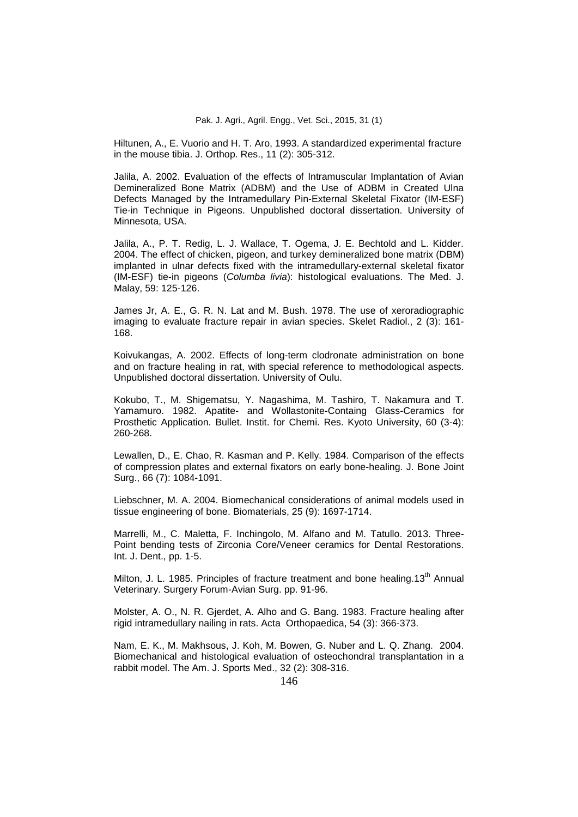Hiltunen, A., E. Vuorio and H. T. Aro, 1993. A standardized experimental fracture in the mouse tibia. J. Orthop. Res., 11 (2): 305-312.

Jalila, A. 2002. Evaluation of the effects of Intramuscular Implantation of Avian Demineralized Bone Matrix (ADBM) and the Use of ADBM in Created Ulna Defects Managed by the Intramedullary Pin-External Skeletal Fixator (IM-ESF) Tie-in Technique in Pigeons. Unpublished doctoral dissertation. University of Minnesota, USA.

Jalila, A., P. T. Redig, L. J. Wallace, T. Ogema, J. E. Bechtold and L. Kidder. 2004. The effect of chicken, pigeon, and turkey demineralized bone matrix (DBM) implanted in ulnar defects fixed with the intramedullary-external skeletal fixator (IM-ESF) tie-in pigeons (*Columba livia*): histological evaluations. The Med. J. Malay, 59: 125-126.

James Jr, A. E., G. R. N. Lat and M. Bush. 1978. The use of xeroradiographic imaging to evaluate fracture repair in avian species. Skelet Radiol., 2 (3): 161- 168.

Koivukangas, A. 2002. Effects of long-term clodronate administration on bone and on fracture healing in rat, with special reference to methodological aspects. Unpublished doctoral dissertation. University of Oulu.

Kokubo, T., M. Shigematsu, Y. Nagashima, M. Tashiro, T. Nakamura and T. Yamamuro. 1982. Apatite- and Wollastonite-Containg Glass-Ceramics for Prosthetic Application. Bullet. Instit. for Chemi. Res. Kyoto University, 60 (3-4): 260-268.

Lewallen, D., E. Chao, R. Kasman and P. Kelly. 1984. Comparison of the effects of compression plates and external fixators on early bone-healing. J. Bone Joint Surg., 66 (7): 1084-1091.

Liebschner, M. A. 2004. Biomechanical considerations of animal models used in tissue engineering of bone. Biomaterials, 25 (9): 1697-1714.

Marrelli, M., C. Maletta, F. Inchingolo, M. Alfano and M. Tatullo. 2013. Three- Point bending tests of Zirconia Core/Veneer ceramics for Dental Restorations. Int. J. Dent., pp. 1-5.

Milton, J. L. 1985. Principles of fracture treatment and bone healing.13<sup>th</sup> Annual Veterinary. Surgery Forum-Avian Surg. pp. 91-96.

Molster, A. O., N. R. Gjerdet, A. Alho and G. Bang. 1983. Fracture healing after rigid intramedullary nailing in rats. Acta Orthopaedica, 54 (3): 366-373.

Nam, E. K., M. Makhsous, J. Koh, M. Bowen, G. Nuber and L. Q. Zhang. 2004. Biomechanical and histological evaluation of osteochondral transplantation in a rabbit model. The Am. J. Sports Med., 32 (2): 308-316.